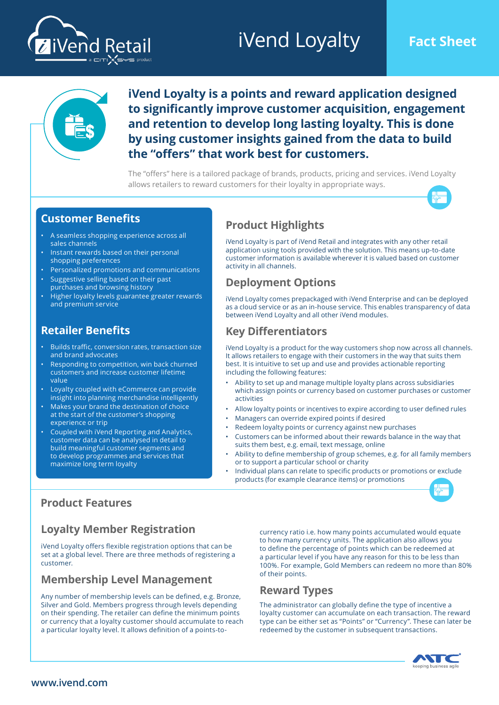# **iVend Loyalty Fact Sheet**





**iVend Loyalty is a points and reward application designed to significantly improve customer acquisition, engagement and retention to develop long lasting loyalty. This is done by using customer insights gained from the data to build the "offers" that work best for customers.**

The "offers" here is a tailored package of brands, products, pricing and services. iVend Loyalty allows retailers to reward customers for their loyalty in appropriate ways.



#### **Customer Benefits**

- A seamless shopping experience across all sales channels
- Instant rewards based on their personal shopping preferences
- Personalized promotions and communications
- Suggestive selling based on their past purchases and browsing history
- Higher loyalty levels guarantee greater rewards and premium service

#### **Retailer Benefits**

- Builds traffic, conversion rates, transaction size and brand advocates
- Responding to competition, win back churned customers and increase customer lifetime value
- Loyalty coupled with eCommerce can provide insight into planning merchandise intelligently
- Makes your brand the destination of choice at the start of the customer's shopping experience or trip
- Coupled with iVend Reporting and Analytics, customer data can be analysed in detail to build meaningful customer segments and to develop programmes and services that maximize long term loyalty

#### **Product Highlights**

iVend Loyalty is part of iVend Retail and integrates with any other retail application using tools provided with the solution. This means up-to-date customer information is available wherever it is valued based on customer activity in all channels.

## **Deployment Options**

iVend Loyalty comes prepackaged with iVend Enterprise and can be deployed as a cloud service or as an in-house service. This enables transparency of data between iVend Loyalty and all other iVend modules.

## **Key Differentiators**

iVend Loyalty is a product for the way customers shop now across all channels. It allows retailers to engage with their customers in the way that suits them best. It is intuitive to set up and use and provides actionable reporting including the following features:

- Ability to set up and manage multiple loyalty plans across subsidiaries which assign points or currency based on customer purchases or customer activities
- Allow loyalty points or incentives to expire according to user defined rules
- Managers can override expired points if desired
- Redeem loyalty points or currency against new purchases
- Customers can be informed about their rewards balance in the way that suits them best, e.g. email, text message, online
- Ability to define membership of group schemes, e.g. for all family members or to support a particular school or charity
- Individual plans can relate to specific products or promotions or exclude products (for example clearance items) or promotions



## **Product Features**

## **Loyalty Member Registration**

iVend Loyalty offers flexible registration options that can be set at a global level. There are three methods of registering a customer.

#### **Membership Level Management**

Any number of membership levels can be defined, e.g. Bronze, Silver and Gold. Members progress through levels depending on their spending. The retailer can define the minimum points or currency that a loyalty customer should accumulate to reach a particular loyalty level. It allows definition of a points-tocurrency ratio i.e. how many points accumulated would equate to how many currency units. The application also allows you to define the percentage of points which can be redeemed at a particular level if you have any reason for this to be less than 100%. For example, Gold Members can redeem no more than 80% of their points.

## **Reward Types**

The administrator can globally define the type of incentive a loyalty customer can accumulate on each transaction. The reward type can be either set as "Points" or "Currency". These can later be redeemed by the customer in subsequent transactions.